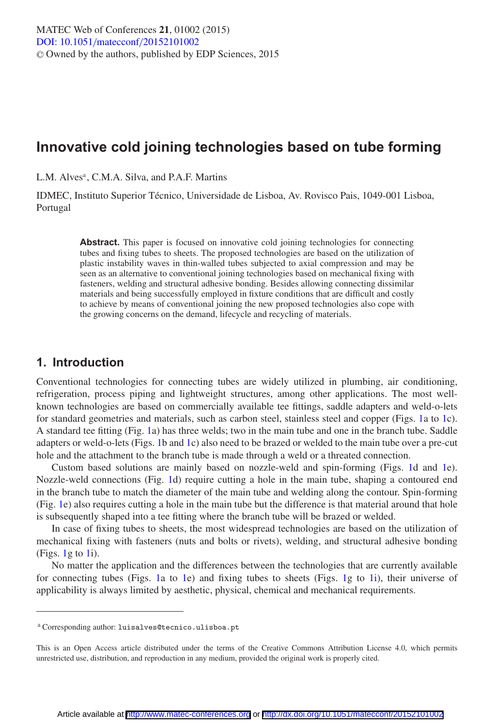# **Innovative cold joining technologies based on tube forming**

L.M. Alves<sup>a</sup>, C.M.A. Silva, and P.A.F. Martins

IDMEC, Instituto Superior Técnico, Universidade de Lisboa, Av. Rovisco Pais, 1049-001 Lisboa, Portugal

> Abstract. This paper is focused on innovative cold joining technologies for connecting tubes and fixing tubes to sheets. The proposed technologies are based on the utilization of plastic instability waves in thin-walled tubes subjected to axial compression and may be seen as an alternative to conventional joining technologies based on mechanical fixing with fasteners, welding and structural adhesive bonding. Besides allowing connecting dissimilar materials and being successfully employed in fixture conditions that are difficult and costly to achieve by means of conventional joining the new proposed technologies also cope with the growing concerns on the demand, lifecycle and recycling of materials.

### **1. Introduction**

Conventional technologies for connecting tubes are widely utilized in plumbing, air conditioning, refrigeration, process piping and lightweight structures, among other applications. The most wellknown technologies are based on commercially available tee fittings, saddle adapters and weld-o-lets for standard geometries and materials, such as carbon steel, stainless steel and copper (Figs. [1a](#page-1-0) to [1c](#page-1-0)). A standard tee fitting (Fig. [1a](#page-1-0)) has three welds; two in the main tube and one in the branch tube. Saddle adapters or weld-o-lets (Figs. [1b](#page-1-0) and [1c](#page-1-0)) also need to be brazed or welded to the main tube over a pre-cut hole and the attachment to the branch tube is made through a weld or a threated connection.

Custom based solutions are mainly based on nozzle-weld and spin-forming (Figs. [1d](#page-1-0) and [1e](#page-1-0)). Nozzle-weld connections (Fig. [1d](#page-1-0)) require cutting a hole in the main tube, shaping a contoured end in the branch tube to match the diameter of the main tube and welding along the contour. Spin-forming (Fig. [1e](#page-1-0)) also requires cutting a hole in the main tube but the difference is that material around that hole is subsequently shaped into a tee fitting where the branch tube will be brazed or welded.

In case of fixing tubes to sheets, the most widespread technologies are based on the utilization of mechanical fixing with fasteners (nuts and bolts or rivets), welding, and structural adhesive bonding  $(Figs. 1g to 1i).$  $(Figs. 1g to 1i).$  $(Figs. 1g to 1i).$  $(Figs. 1g to 1i).$  $(Figs. 1g to 1i).$ 

No matter the application and the differences between the technologies that are currently available for connecting tubes (Figs. [1a](#page-1-0) to [1e](#page-1-0)) and fixing tubes to sheets (Figs. [1g](#page-1-0) to [1i](#page-1-0)), their universe of applicability is always limited by aesthetic, physical, chemical and mechanical requirements.

<sup>a</sup> Corresponding author: luisalves@tecnico.ulisboa.pt

This is an Open Access article distributed under the terms of the Creative Commons Attribution License 4.0, which permits unrestricted use, distribution, and reproduction in any medium, provided the original work is properly cited.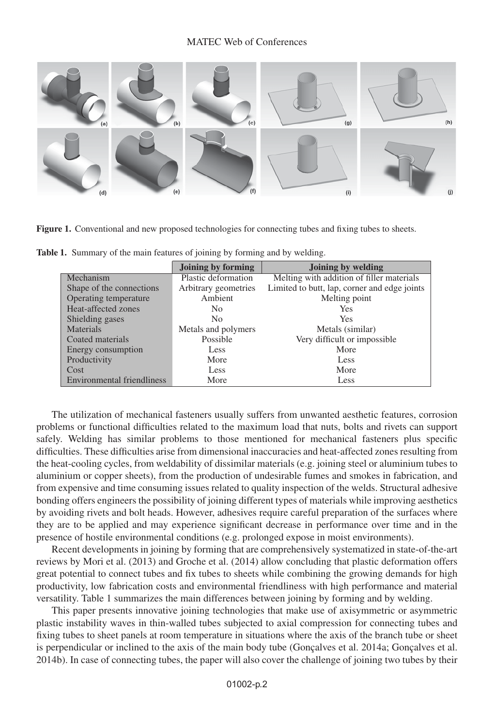<span id="page-1-0"></span>

Figure 1. Conventional and new proposed technologies for connecting tubes and fixing tubes to sheets.

|                                   | <b>Joining by forming</b> | Joining by welding                           |
|-----------------------------------|---------------------------|----------------------------------------------|
| Mechanism                         | Plastic deformation       | Melting with addition of filler materials    |
| Shape of the connections          | Arbitrary geometries      | Limited to butt, lap, corner and edge joints |
| Operating temperature             | Ambient                   | Melting point                                |
| Heat-affected zones               | No.                       | <b>Yes</b>                                   |
| Shielding gases                   | N <sub>0</sub>            | <b>Yes</b>                                   |
| <b>Materials</b>                  | Metals and polymers       | Metals (similar)                             |
| Coated materials                  | Possible                  | Very difficult or impossible                 |
| Energy consumption                | Less                      | More                                         |
| Productivity                      | More                      | Less                                         |
| Cost                              | Less                      | More                                         |
| <b>Environmental friendliness</b> | More                      | Less                                         |

Table 1. Summary of the main features of joining by forming and by welding.

The utilization of mechanical fasteners usually suffers from unwanted aesthetic features, corrosion problems or functional difficulties related to the maximum load that nuts, bolts and rivets can support safely. Welding has similar problems to those mentioned for mechanical fasteners plus specific difficulties. These difficulties arise from dimensional inaccuracies and heat-affected zones resulting from the heat-cooling cycles, from weldability of dissimilar materials (e.g. joining steel or aluminium tubes to aluminium or copper sheets), from the production of undesirable fumes and smokes in fabrication, and from expensive and time consuming issues related to quality inspection of the welds. Structural adhesive bonding offers engineers the possibility of joining different types of materials while improving aesthetics by avoiding rivets and bolt heads. However, adhesives require careful preparation of the surfaces where they are to be applied and may experience significant decrease in performance over time and in the presence of hostile environmental conditions (e.g. prolonged expose in moist environments).

Recent developments in joining by forming that are comprehensively systematized in state-of-the-art reviews by Mori et al. (2013) and Groche et al. (2014) allow concluding that plastic deformation offers great potential to connect tubes and fix tubes to sheets while combining the growing demands for high productivity, low fabrication costs and environmental friendliness with high performance and material versatility. Table 1 summarizes the main differences between joining by forming and by welding.

This paper presents innovative joining technologies that make use of axisymmetric or asymmetric plastic instability waves in thin-walled tubes subjected to axial compression for connecting tubes and fixing tubes to sheet panels at room temperature in situations where the axis of the branch tube or sheet is perpendicular or inclined to the axis of the main body tube (Gonçalves et al. 2014a; Gonçalves et al. 2014b). In case of connecting tubes, the paper will also cover the challenge of joining two tubes by their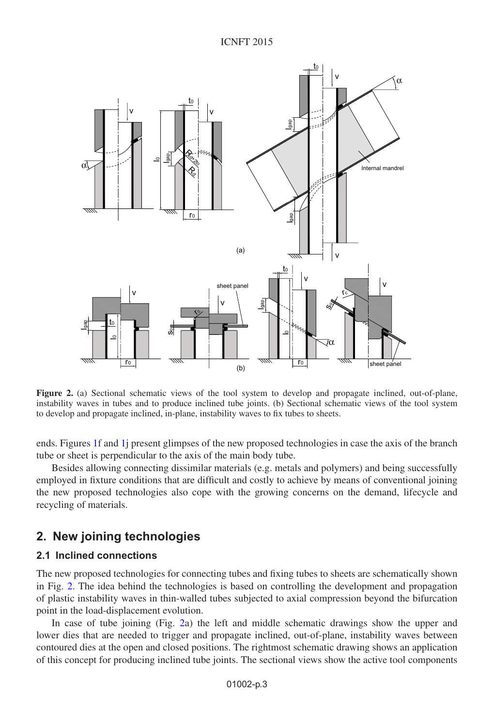<span id="page-2-0"></span>

**Figure 2.** (a) Sectional schematic views of the tool system to develop and propagate inclined, out-of-plane, instability waves in tubes and to produce inclined tube joints. (b) Sectional schematic views of the tool system to develop and propagate inclined, in-plane, instability waves to fix tubes to sheets.

ends. Figures [1f](#page-1-0) and [1j](#page-1-0) present glimpses of the new proposed technologies in case the axis of the branch tube or sheet is perpendicular to the axis of the main body tube.

Besides allowing connecting dissimilar materials (e.g. metals and polymers) and being successfully employed in fixture conditions that are difficult and costly to achieve by means of conventional joining the new proposed technologies also cope with the growing concerns on the demand, lifecycle and recycling of materials.

### **2. New joining technologies**

#### **2.1 Inclined connections**

The new proposed technologies for connecting tubes and fixing tubes to sheets are schematically shown in Fig. [2.](#page-2-0) The idea behind the technologies is based on controlling the development and propagation of plastic instability waves in thin-walled tubes subjected to axial compression beyond the bifurcation point in the load-displacement evolution.

In case of tube joining (Fig. [2a](#page-2-0)) the left and middle schematic drawings show the upper and lower dies that are needed to trigger and propagate inclined, out-of-plane, instability waves between contoured dies at the open and closed positions. The rightmost schematic drawing shows an application of this concept for producing inclined tube joints. The sectional views show the active tool components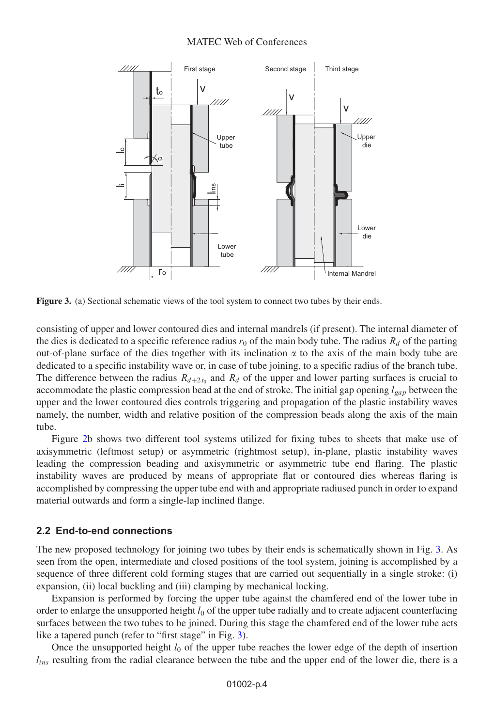#### MATEC Web of Conferences

<span id="page-3-0"></span>

**Figure 3.** (a) Sectional schematic views of the tool system to connect two tubes by their ends.

consisting of upper and lower contoured dies and internal mandrels (if present). The internal diameter of the dies is dedicated to a specific reference radius  $r_0$  of the main body tube. The radius  $R_d$  of the parting out-of-plane surface of the dies together with its inclination  $\alpha$  to the axis of the main body tube are dedicated to a specific instability wave or, in case of tube joining, to a specific radius of the branch tube. The difference between the radius  $R_{d+2t_0}$  and  $R_d$  of the upper and lower parting surfaces is crucial to accommodate the plastic compression bead at the end of stroke. The initial gap opening  $l_{gap}$  between the upper and the lower contoured dies controls triggering and propagation of the plastic instability waves namely, the number, width and relative position of the compression beads along the axis of the main tube.

Figure [2b](#page-2-0) shows two different tool systems utilized for fixing tubes to sheets that make use of axisymmetric (leftmost setup) or asymmetric (rightmost setup), in-plane, plastic instability waves leading the compression beading and axisymmetric or asymmetric tube end flaring. The plastic instability waves are produced by means of appropriate flat or contoured dies whereas flaring is accomplished by compressing the upper tube end with and appropriate radiused punch in order to expand material outwards and form a single-lap inclined flange.

#### **2.2 End-to-end connections**

The new proposed technology for joining two tubes by their ends is schematically shown in Fig. [3.](#page-3-0) As seen from the open, intermediate and closed positions of the tool system, joining is accomplished by a sequence of three different cold forming stages that are carried out sequentially in a single stroke: (i) expansion, (ii) local buckling and (iii) clamping by mechanical locking.

Expansion is performed by forcing the upper tube against the chamfered end of the lower tube in order to enlarge the unsupported height  $l_0$  of the upper tube radially and to create adjacent counterfacing surfaces between the two tubes to be joined. During this stage the chamfered end of the lower tube acts like a tapered punch (refer to "first stage" in Fig. [3\)](#page-3-0).

Once the unsupported height  $l_0$  of the upper tube reaches the lower edge of the depth of insertion  $l_{ins}$  resulting from the radial clearance between the tube and the upper end of the lower die, there is a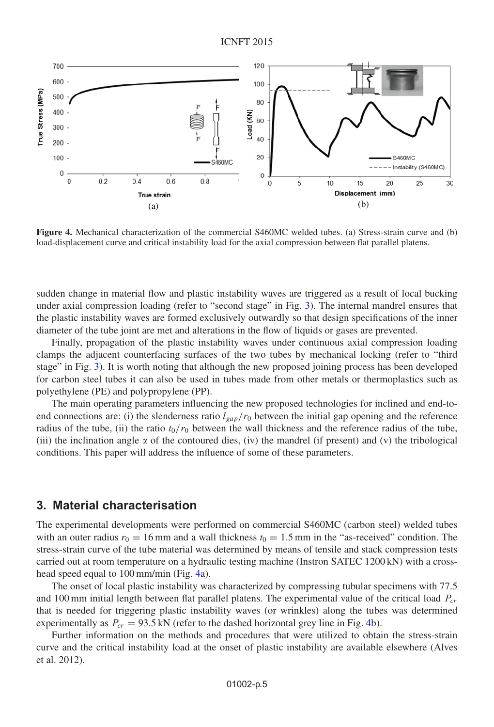<span id="page-4-0"></span>

**Figure 4.** Mechanical characterization of the commercial S460MC welded tubes. (a) Stress-strain curve and (b) load-displacement curve and critical instability load for the axial compression between flat parallel platens.

sudden change in material flow and plastic instability waves are triggered as a result of local bucking under axial compression loading (refer to "second stage" in Fig. [3\)](#page-3-0). The internal mandrel ensures that the plastic instability waves are formed exclusively outwardly so that design specifications of the inner diameter of the tube joint are met and alterations in the flow of liquids or gases are prevented.

Finally, propagation of the plastic instability waves under continuous axial compression loading clamps the adjacent counterfacing surfaces of the two tubes by mechanical locking (refer to "third stage" in Fig. [3\)](#page-3-0). It is worth noting that although the new proposed joining process has been developed for carbon steel tubes it can also be used in tubes made from other metals or thermoplastics such as polyethylene (PE) and polypropylene (PP).

The main operating parameters influencing the new proposed technologies for inclined and end-toend connections are: (i) the slenderness ratio  $l_{\text{gap}}/r_0$  between the initial gap opening and the reference radius of the tube, (ii) the ratio  $t_0/r_0$  between the wall thickness and the reference radius of the tube, (iii) the inclination angle  $\alpha$  of the contoured dies, (iv) the mandrel (if present) and (v) the tribological conditions. This paper will address the influence of some of these parameters.

#### **3. Material characterisation**

The experimental developments were performed on commercial S460MC (carbon steel) welded tubes with an outer radius  $r_0 = 16$  mm and a wall thickness  $t_0 = 1.5$  mm in the "as-received" condition. The stress-strain curve of the tube material was determined by means of tensile and stack compression tests carried out at room temperature on a hydraulic testing machine (Instron SATEC 1200 kN) with a crosshead speed equal to 100 mm/min (Fig. [4a](#page-4-0)).

The onset of local plastic instability was characterized by compressing tubular specimens with 77.5 and 100 mm initial length between flat parallel platens. The experimental value of the critical load  $P_{cr}$ that is needed for triggering plastic instability waves (or wrinkles) along the tubes was determined experimentally as  $P_{cr} = 93.5 \text{ kN}$  (refer to the dashed horizontal grey line in Fig. [4b](#page-4-0)).

Further information on the methods and procedures that were utilized to obtain the stress-strain curve and the critical instability load at the onset of plastic instability are available elsewhere (Alves et al. 2012).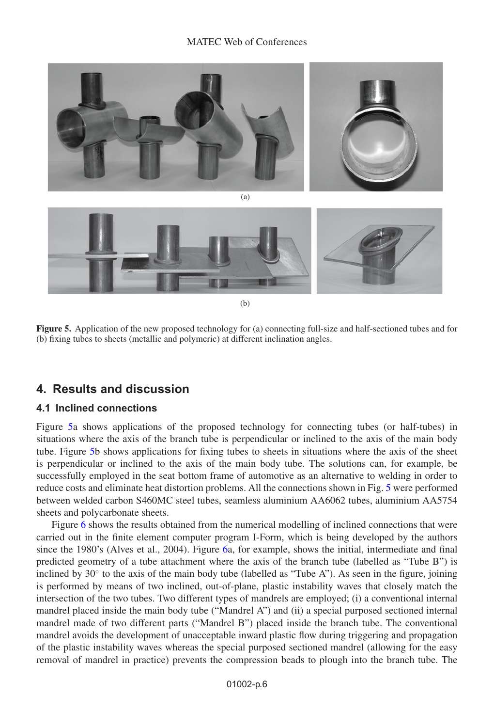#### MATEC Web of Conferences

<span id="page-5-0"></span>

**Figure 5.** Application of the new proposed technology for (a) connecting full-size and half-sectioned tubes and for (b) fixing tubes to sheets (metallic and polymeric) at different inclination angles.

# **4. Results and discussion**

#### **4.1 Inclined connections**

Figure [5a](#page-5-0) shows applications of the proposed technology for connecting tubes (or half-tubes) in situations where the axis of the branch tube is perpendicular or inclined to the axis of the main body tube. Figure [5b](#page-5-0) shows applications for fixing tubes to sheets in situations where the axis of the sheet is perpendicular or inclined to the axis of the main body tube. The solutions can, for example, be successfully employed in the seat bottom frame of automotive as an alternative to welding in order to reduce costs and eliminate heat distortion problems. All the connections shown in Fig. [5](#page-5-0) were performed between welded carbon S460MC steel tubes, seamless aluminium AA6062 tubes, aluminium AA5754 sheets and polycarbonate sheets.

Figure [6](#page-6-0) shows the results obtained from the numerical modelling of inclined connections that were carried out in the finite element computer program I-Form, which is being developed by the authors since the 1980's (Alves et al., 2004). Figure [6a](#page-6-0), for example, shows the initial, intermediate and final predicted geometry of a tube attachment where the axis of the branch tube (labelled as "Tube B") is inclined by  $30°$  to the axis of the main body tube (labelled as "Tube A"). As seen in the figure, joining is performed by means of two inclined, out-of-plane, plastic instability waves that closely match the intersection of the two tubes. Two different types of mandrels are employed; (i) a conventional internal mandrel placed inside the main body tube ("Mandrel A") and (ii) a special purposed sectioned internal mandrel made of two different parts ("Mandrel B") placed inside the branch tube. The conventional mandrel avoids the development of unacceptable inward plastic flow during triggering and propagation of the plastic instability waves whereas the special purposed sectioned mandrel (allowing for the easy removal of mandrel in practice) prevents the compression beads to plough into the branch tube. The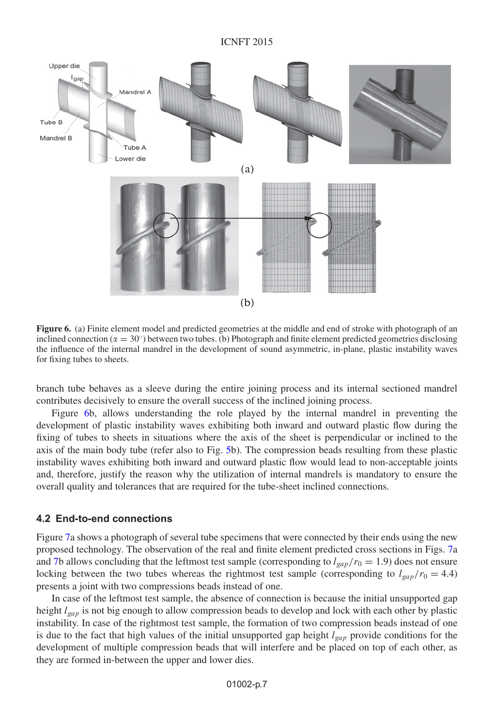<span id="page-6-0"></span>

**Figure 6.** (a) Finite element model and predicted geometries at the middle and end of stroke with photograph of an inclined connection ( $\alpha = 30^\circ$ ) between two tubes. (b) Photograph and finite element predicted geometries disclosing the influence of the internal mandrel in the development of sound asymmetric, in-plane, plastic instability waves for fixing tubes to sheets.

branch tube behaves as a sleeve during the entire joining process and its internal sectioned mandrel contributes decisively to ensure the overall success of the inclined joining process.

Figure [6b](#page-6-0), allows understanding the role played by the internal mandrel in preventing the development of plastic instability waves exhibiting both inward and outward plastic flow during the fixing of tubes to sheets in situations where the axis of the sheet is perpendicular or inclined to the axis of the main body tube (refer also to Fig. [5b](#page-5-0)). The compression beads resulting from these plastic instability waves exhibiting both inward and outward plastic flow would lead to non-acceptable joints and, therefore, justify the reason why the utilization of internal mandrels is mandatory to ensure the overall quality and tolerances that are required for the tube-sheet inclined connections.

#### **4.2 End-to-end connections**

Figure [7a](#page-7-0) shows a photograph of several tube specimens that were connected by their ends using the new proposed technology. The observation of the real and finite element predicted cross sections in Figs. [7a](#page-7-0) and [7b](#page-7-0) allows concluding that the leftmost test sample (corresponding to  $l_{gap}/r_0 = 1.9$ ) does not ensure locking between the two tubes whereas the rightmost test sample (corresponding to  $l_{gap}/r_0 = 4.4$ ) presents a joint with two compressions beads instead of one.

In case of the leftmost test sample, the absence of connection is because the initial unsupported gap height  $l_{gap}$  is not big enough to allow compression beads to develop and lock with each other by plastic instability. In case of the rightmost test sample, the formation of two compression beads instead of one is due to the fact that high values of the initial unsupported gap height  $l_{gap}$  provide conditions for the development of multiple compression beads that will interfere and be placed on top of each other, as they are formed in-between the upper and lower dies.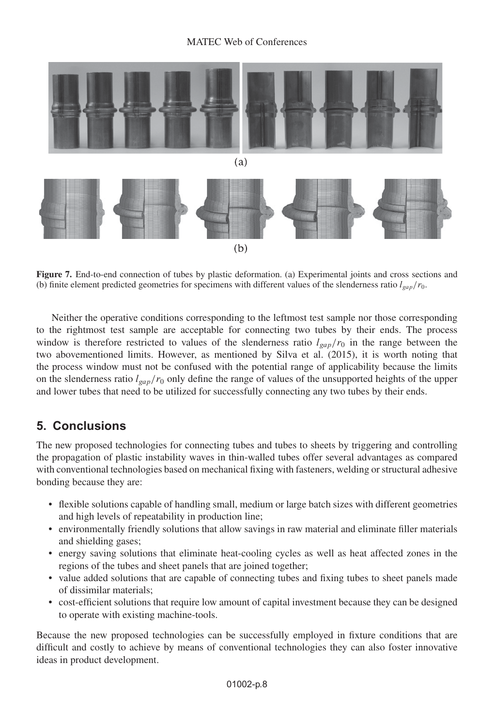<span id="page-7-0"></span>

**Figure 7.** End-to-end connection of tubes by plastic deformation. (a) Experimental joints and cross sections and (b) finite element predicted geometries for specimens with different values of the slenderness ratio  $l_{gap}/r_0$ .

Neither the operative conditions corresponding to the leftmost test sample nor those corresponding to the rightmost test sample are acceptable for connecting two tubes by their ends. The process window is therefore restricted to values of the slenderness ratio  $l_{gap}/r_0$  in the range between the two abovementioned limits. However, as mentioned by Silva et al. (2015), it is worth noting that the process window must not be confused with the potential range of applicability because the limits on the slenderness ratio  $l_{gap}/r_0$  only define the range of values of the unsupported heights of the upper and lower tubes that need to be utilized for successfully connecting any two tubes by their ends.

# **5. Conclusions**

The new proposed technologies for connecting tubes and tubes to sheets by triggering and controlling the propagation of plastic instability waves in thin-walled tubes offer several advantages as compared with conventional technologies based on mechanical fixing with fasteners, welding or structural adhesive bonding because they are:

- flexible solutions capable of handling small, medium or large batch sizes with different geometries and high levels of repeatability in production line;
- environmentally friendly solutions that allow savings in raw material and eliminate filler materials and shielding gases;
- energy saving solutions that eliminate heat-cooling cycles as well as heat affected zones in the regions of the tubes and sheet panels that are joined together;
- value added solutions that are capable of connecting tubes and fixing tubes to sheet panels made of dissimilar materials;
- cost-efficient solutions that require low amount of capital investment because they can be designed to operate with existing machine-tools.

Because the new proposed technologies can be successfully employed in fixture conditions that are difficult and costly to achieve by means of conventional technologies they can also foster innovative ideas in product development.